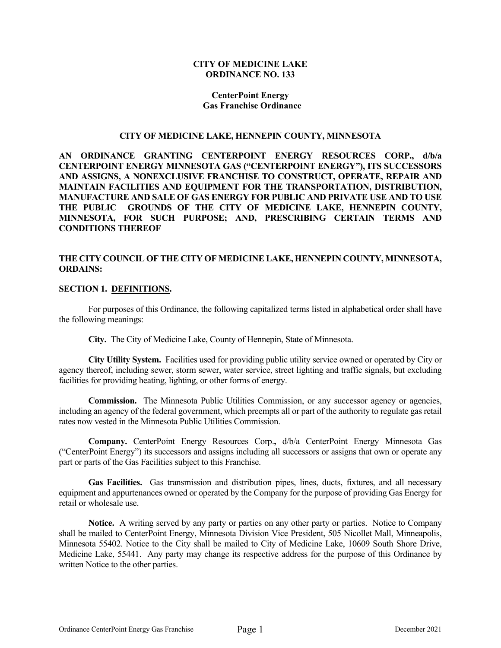### **CITY OF MEDICINE LAKE ORDINANCE NO. 133**

### **CenterPoint Energy Gas Franchise Ordinance**

#### **CITY OF MEDICINE LAKE, HENNEPIN COUNTY, MINNESOTA**

**AN ORDINANCE GRANTING CENTERPOINT ENERGY RESOURCES CORP., d/b/a CENTERPOINT ENERGY MINNESOTA GAS ("CENTERPOINT ENERGY"), ITS SUCCESSORS AND ASSIGNS, A NONEXCLUSIVE FRANCHISE TO CONSTRUCT, OPERATE, REPAIR AND MAINTAIN FACILITIES AND EQUIPMENT FOR THE TRANSPORTATION, DISTRIBUTION, MANUFACTURE AND SALE OF GAS ENERGY FOR PUBLIC AND PRIVATE USE AND TO USE THE PUBLIC GROUNDS OF THE CITY OF MEDICINE LAKE, HENNEPIN COUNTY, MINNESOTA, FOR SUCH PURPOSE; AND, PRESCRIBING CERTAIN TERMS AND CONDITIONS THEREOF**

### **THE CITY COUNCIL OF THE CITY OF MEDICINE LAKE, HENNEPIN COUNTY, MINNESOTA, ORDAINS:**

### **SECTION 1. DEFINITIONS.**

For purposes of this Ordinance, the following capitalized terms listed in alphabetical order shall have the following meanings:

**City.** The City of Medicine Lake, County of Hennepin, State of Minnesota.

**City Utility System.** Facilities used for providing public utility service owned or operated by City or agency thereof, including sewer, storm sewer, water service, street lighting and traffic signals, but excluding facilities for providing heating, lighting, or other forms of energy.

Commission. The Minnesota Public Utilities Commission, or any successor agency or agencies, including an agency of the federal government, which preempts all or part of the authority to regulate gas retail rates now vested in the Minnesota Public Utilities Commission.

**Company.** CenterPoint Energy Resources Corp.**,** d/b/a CenterPoint Energy Minnesota Gas ("CenterPoint Energy") its successors and assigns including all successors or assigns that own or operate any part or parts of the Gas Facilities subject to this Franchise.

**Gas Facilities.** Gas transmission and distribution pipes, lines, ducts, fixtures, and all necessary equipment and appurtenances owned or operated by the Company for the purpose of providing Gas Energy for retail or wholesale use.

**Notice.** A writing served by any party or parties on any other party or parties. Notice to Company shall be mailed to CenterPoint Energy, Minnesota Division Vice President, 505 Nicollet Mall, Minneapolis, Minnesota 55402. Notice to the City shall be mailed to City of Medicine Lake, 10609 South Shore Drive, Medicine Lake, 55441. Any party may change its respective address for the purpose of this Ordinance by written Notice to the other parties.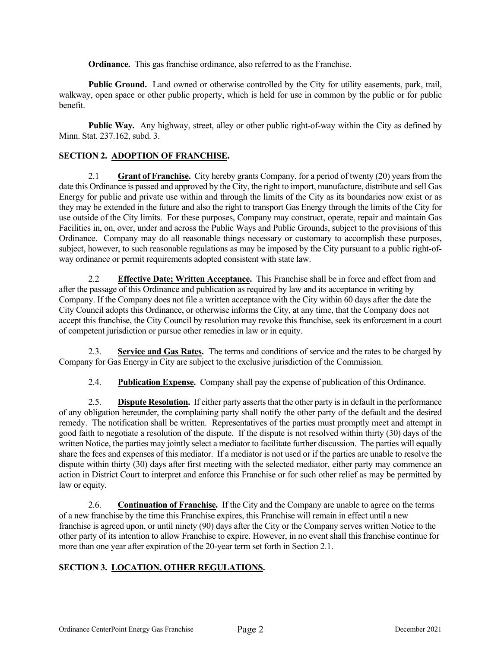**Ordinance.** This gas franchise ordinance, also referred to as the Franchise.

**Public Ground.** Land owned or otherwise controlled by the City for utility easements, park, trail, walkway, open space or other public property, which is held for use in common by the public or for public benefit.

**Public Way.** Any highway, street, alley or other public right-of-way within the City as defined by Minn. Stat. 237.162, subd. 3.

## **SECTION 2. ADOPTION OF FRANCHISE.**

2.1 **Grant of Franchise.** City hereby grants Company, for a period of twenty (20) years from the date this Ordinance is passed and approved by the City, the right to import, manufacture, distribute and sell Gas Energy for public and private use within and through the limits of the City as its boundaries now exist or as they may be extended in the future and also the right to transport Gas Energy through the limits of the City for use outside of the City limits. For these purposes, Company may construct, operate, repair and maintain Gas Facilities in, on, over, under and across the Public Ways and Public Grounds, subject to the provisions of this Ordinance. Company may do all reasonable things necessary or customary to accomplish these purposes, subject, however, to such reasonable regulations as may be imposed by the City pursuant to a public right-ofway ordinance or permit requirements adopted consistent with state law.

2.2 **Effective Date; Written Acceptance.** This Franchise shall be in force and effect from and after the passage of this Ordinance and publication as required by law and its acceptance in writing by Company. If the Company does not file a written acceptance with the City within 60 days after the date the City Council adopts this Ordinance, or otherwise informs the City, at any time, that the Company does not accept this franchise, the City Council by resolution may revoke this franchise, seek its enforcement in a court of competent jurisdiction or pursue other remedies in law or in equity.

2.3. **Service and Gas Rates.** The terms and conditions of service and the rates to be charged by Company for Gas Energy in City are subject to the exclusive jurisdiction of the Commission.

2.4. **Publication Expense.** Company shall pay the expense of publication of this Ordinance.

2.5. **Dispute Resolution.** If either party asserts that the other party is in default in the performance of any obligation hereunder, the complaining party shall notify the other party of the default and the desired remedy. The notification shall be written. Representatives of the parties must promptly meet and attempt in good faith to negotiate a resolution of the dispute. If the dispute is not resolved within thirty (30) days of the written Notice, the parties may jointly select a mediator to facilitate further discussion. The parties will equally share the fees and expenses of this mediator. If a mediator is not used or if the parties are unable to resolve the dispute within thirty (30) days after first meeting with the selected mediator, either party may commence an action in District Court to interpret and enforce this Franchise or for such other relief as may be permitted by law or equity*.*

2.6. **Continuation of Franchise.**If the City and the Company are unable to agree on the terms of a new franchise by the time this Franchise expires, this Franchise will remain in effect until a new franchise is agreed upon, or until ninety (90) days after the City or the Company serves written Notice to the other party of its intention to allow Franchise to expire. However, in no event shall this franchise continue for more than one year after expiration of the 20-year term set forth in Section 2.1.

### **SECTION 3. LOCATION, OTHER REGULATIONS.**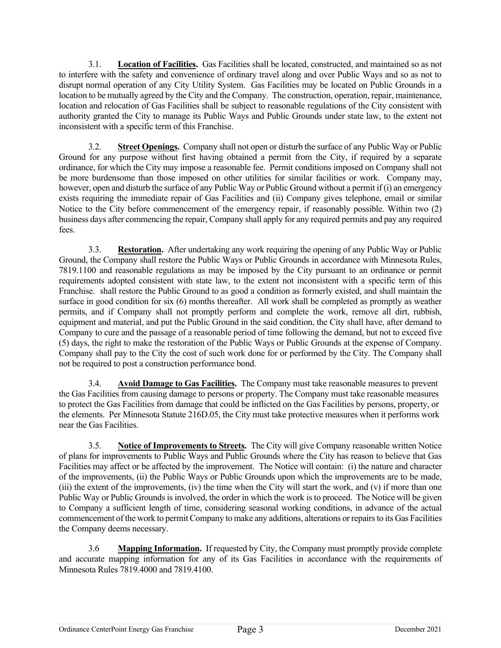3.1. **Location of Facilities.** Gas Facilities shall be located, constructed, and maintained so as not to interfere with the safety and convenience of ordinary travel along and over Public Ways and so as not to disrupt normal operation of any City Utility System. Gas Facilities may be located on Public Grounds in a location to be mutually agreed by the City and the Company. The construction, operation, repair, maintenance, location and relocation of Gas Facilities shall be subject to reasonable regulations of the City consistent with authority granted the City to manage its Public Ways and Public Grounds under state law, to the extent not inconsistent with a specific term of this Franchise.

3.2. **Street Openings.** Company shall not open or disturb the surface of any Public Way or Public Ground for any purpose without first having obtained a permit from the City, if required by a separate ordinance, for which the City may impose a reasonable fee. Permit conditions imposed on Company shall not be more burdensome than those imposed on other utilities for similar facilities or work. Company may, however, open and disturb the surface of any Public Way or Public Ground without a permit if (i) an emergency exists requiring the immediate repair of Gas Facilities and (ii) Company gives telephone, email or similar Notice to the City before commencement of the emergency repair, if reasonably possible. Within two (2) business days after commencing the repair, Company shall apply for any required permits and pay any required fees.

3.3. **Restoration.** After undertaking any work requiring the opening of any Public Way or Public Ground, the Company shall restore the Public Ways or Public Grounds in accordance with Minnesota Rules, 7819.1100 and reasonable regulations as may be imposed by the City pursuant to an ordinance or permit requirements adopted consistent with state law, to the extent not inconsistent with a specific term of this Franchise. shall restore the Public Ground to as good a condition as formerly existed, and shall maintain the surface in good condition for six (6) months thereafter. All work shall be completed as promptly as weather permits, and if Company shall not promptly perform and complete the work, remove all dirt, rubbish, equipment and material, and put the Public Ground in the said condition, the City shall have, after demand to Company to cure and the passage of a reasonable period of time following the demand, but not to exceed five (5) days, the right to make the restoration of the Public Ways or Public Grounds at the expense of Company. Company shall pay to the City the cost of such work done for or performed by the City. The Company shall not be required to post a construction performance bond.

3.4. **Avoid Damage to Gas Facilities.** The Company must take reasonable measures to prevent the Gas Facilities from causing damage to persons or property. The Company must take reasonable measures to protect the Gas Facilities from damage that could be inflicted on the Gas Facilities by persons, property, or the elements. Per Minnesota Statute 216D.05, the City must take protective measures when it performs work near the Gas Facilities.

3.5. **Notice of Improvements to Streets.** The City will give Company reasonable written Notice of plans for improvements to Public Ways and Public Grounds where the City has reason to believe that Gas Facilities may affect or be affected by the improvement. The Notice will contain: (i) the nature and character of the improvements, (ii) the Public Ways or Public Grounds upon which the improvements are to be made, (iii) the extent of the improvements, (iv) the time when the City will start the work, and (v) if more than one Public Way or Public Grounds is involved, the order in which the work is to proceed. The Notice will be given to Company a sufficient length of time, considering seasonal working conditions, in advance of the actual commencement of the work to permit Company to make any additions, alterations or repairs to its Gas Facilities the Company deems necessary.

3.6 **Mapping Information.** If requested by City, the Company must promptly provide complete and accurate mapping information for any of its Gas Facilities in accordance with the requirements of Minnesota Rules 7819.4000 and 7819.4100.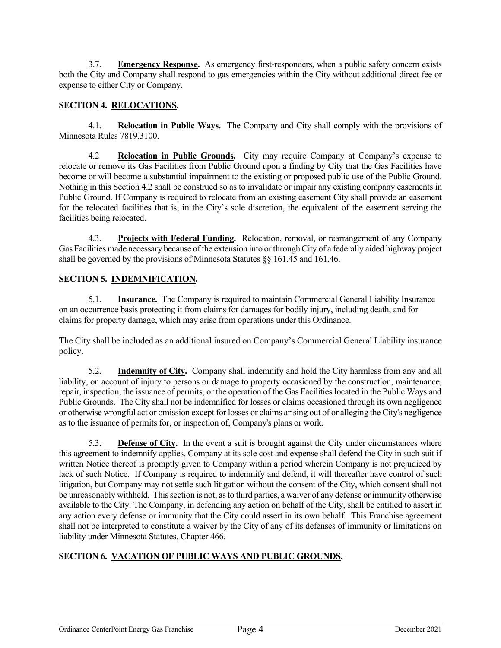3.7. **Emergency Response.** As emergency first-responders, when a public safety concern exists both the City and Company shall respond to gas emergencies within the City without additional direct fee or expense to either City or Company.

# **SECTION 4. RELOCATIONS.**

4.1. **Relocation in Public Ways.** The Company and City shall comply with the provisions of Minnesota Rules 7819.3100.

4.2 **Relocation in Public Grounds.** City may require Company at Company's expense to relocate or remove its Gas Facilities from Public Ground upon a finding by City that the Gas Facilities have become or will become a substantial impairment to the existing or proposed public use of the Public Ground. Nothing in this Section 4.2 shall be construed so as to invalidate or impair any existing company easements in Public Ground. If Company is required to relocate from an existing easement City shall provide an easement for the relocated facilities that is, in the City's sole discretion, the equivalent of the easement serving the facilities being relocated.

4.3. **Projects with Federal Funding.** Relocation, removal, or rearrangement of any Company Gas Facilities made necessary because of the extension into or through City of a federally aided highway project shall be governed by the provisions of Minnesota Statutes §§ 161.45 and 161.46.

# **SECTION 5. INDEMNIFICATION.**

5.1. **Insurance.** The Company is required to maintain Commercial General Liability Insurance on an occurrence basis protecting it from claims for damages for bodily injury, including death, and for claims for property damage, which may arise from operations under this Ordinance.

The City shall be included as an additional insured on Company's Commercial General Liability insurance policy.

5.2. **Indemnity of City.** Company shall indemnify and hold the City harmless from any and all liability, on account of injury to persons or damage to property occasioned by the construction, maintenance, repair, inspection, the issuance of permits, or the operation of the Gas Facilities located in the Public Ways and Public Grounds. The City shall not be indemnified for losses or claims occasioned through its own negligence or otherwise wrongful act or omission except for losses or claims arising out of or alleging the City's negligence as to the issuance of permits for, or inspection of, Company's plans or work.

5.3. **Defense of City.** In the event a suit is brought against the City under circumstances where this agreement to indemnify applies, Company at its sole cost and expense shall defend the City in such suit if written Notice thereof is promptly given to Company within a period wherein Company is not prejudiced by lack of such Notice. If Company is required to indemnify and defend, it will thereafter have control of such litigation, but Company may not settle such litigation without the consent of the City, which consent shall not be unreasonably withheld. This section is not, as to third parties, a waiver of any defense or immunity otherwise available to the City. The Company, in defending any action on behalf of the City, shall be entitled to assert in any action every defense or immunity that the City could assert in its own behalf*.* This Franchise agreement shall not be interpreted to constitute a waiver by the City of any of its defenses of immunity or limitations on liability under Minnesota Statutes, Chapter 466.

# **SECTION 6. VACATION OF PUBLIC WAYS AND PUBLIC GROUNDS.**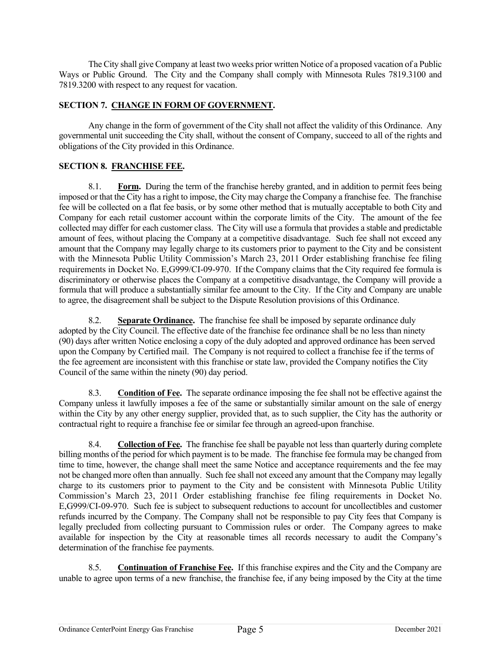The City shall give Company at least two weeks prior written Notice of a proposed vacation of a Public Ways or Public Ground. The City and the Company shall comply with Minnesota Rules 7819.3100 and 7819.3200 with respect to any request for vacation.

# **SECTION 7. CHANGE IN FORM OF GOVERNMENT.**

Any change in the form of government of the City shall not affect the validity of this Ordinance. Any governmental unit succeeding the City shall, without the consent of Company, succeed to all of the rights and obligations of the City provided in this Ordinance.

# **SECTION 8. FRANCHISE FEE.**

8.1. **Form.** During the term of the franchise hereby granted, and in addition to permit fees being imposed or that the City has a right to impose, the City may charge the Company a franchise fee. The franchise fee will be collected on a flat fee basis, or by some other method that is mutually acceptable to both City and Company for each retail customer account within the corporate limits of the City. The amount of the fee collected may differ for each customer class. The City will use a formula that provides a stable and predictable amount of fees, without placing the Company at a competitive disadvantage. Such fee shall not exceed any amount that the Company may legally charge to its customers prior to payment to the City and be consistent with the Minnesota Public Utility Commission's March 23, 2011 Order establishing franchise fee filing requirements in Docket No. E,G999/CI-09-970. If the Company claims that the City required fee formula is discriminatory or otherwise places the Company at a competitive disadvantage, the Company will provide a formula that will produce a substantially similar fee amount to the City. If the City and Company are unable to agree, the disagreement shall be subject to the Dispute Resolution provisions of this Ordinance.

8.2. **Separate Ordinance.** The franchise fee shall be imposed by separate ordinance duly adopted by the City Council. The effective date of the franchise fee ordinance shall be no less than ninety (90) days after written Notice enclosing a copy of the duly adopted and approved ordinance has been served upon the Company by Certified mail. The Company is not required to collect a franchise fee if the terms of the fee agreement are inconsistent with this franchise or state law, provided the Company notifies the City Council of the same within the ninety (90) day period.

8.3. **Condition of Fee.** The separate ordinance imposing the fee shall not be effective against the Company unless it lawfully imposes a fee of the same or substantially similar amount on the sale of energy within the City by any other energy supplier, provided that, as to such supplier, the City has the authority or contractual right to require a franchise fee or similar fee through an agreed-upon franchise.

8.4. **Collection of Fee.** The franchise fee shall be payable not less than quarterly during complete billing months of the period for which payment is to be made. The franchise fee formula may be changed from time to time, however, the change shall meet the same Notice and acceptance requirements and the fee may not be changed more often than annually. Such fee shall not exceed any amount that the Company may legally charge to its customers prior to payment to the City and be consistent with Minnesota Public Utility Commission's March 23, 2011 Order establishing franchise fee filing requirements in Docket No. E,G999/CI-09-970. Such fee is subject to subsequent reductions to account for uncollectibles and customer refunds incurred by the Company. The Company shall not be responsible to pay City fees that Company is legally precluded from collecting pursuant to Commission rules or order. The Company agrees to make available for inspection by the City at reasonable times all records necessary to audit the Company's determination of the franchise fee payments.

8.5. **Continuation of Franchise Fee.** If this franchise expires and the City and the Company are unable to agree upon terms of a new franchise, the franchise fee, if any being imposed by the City at the time